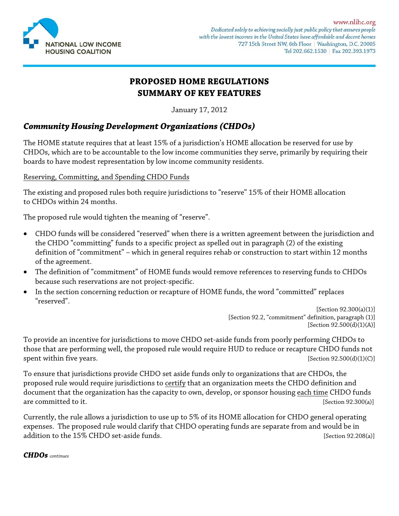

# **PROPOSED HOME REGULATIONS SUMMARY OF KEY FEATURES**

January 17, 2012

## *Community Housing Development Organizations (CHDOs)*

The HOME statute requires that at least 15% of a jurisdiction's HOME allocation be reserved for use by CHDOs, which are to be accountable to the low income communities they serve, primarily by requiring their boards to have modest representation by low income community residents.

### Reserving, Committing, and Spending CHDO Funds

The existing and proposed rules both require jurisdictions to "reserve" 15% of their HOME allocation to CHDOs within 24 months.

The proposed rule would tighten the meaning of "reserve".

- CHDO funds will be considered "reserved" when there is a written agreement between the jurisdiction and the CHDO "committing" funds to a specific project as spelled out in paragraph (2) of the existing definition of "commitment" – which in general requires rehab or construction to start within 12 months of the agreement.
- The definition of "commitment" of HOME funds would remove references to reserving funds to CHDOs because such reservations are not project-specific.
- In the section concerning reduction or recapture of HOME funds, the word "committed" replaces "reserved".

[Section 92.300(a)(1)] [Section 92.2, "commitment" definition, paragraph (1)] [Section 92.500(d)(1)(A)]

To provide an incentive for jurisdictions to move CHDO set-aside funds from poorly performing CHDOs to those that are performing well, the proposed rule would require HUD to reduce or recapture CHDO funds not spent within five years. [Section 92.500(d)(1)(C)]

To ensure that jurisdictions provide CHDO set aside funds only to organizations that are CHDOs, the proposed rule would require jurisdictions to certify that an organization meets the CHDO definition and document that the organization has the capacity to own, develop, or sponsor housing each time CHDO funds are committed to it. **[Section 92.300(a)]** [Section 92.300(a)]

Currently, the rule allows a jurisdiction to use up to 5% of its HOME allocation for CHDO general operating expenses. The proposed rule would clarify that CHDO operating funds are separate from and would be in addition to the 15% CHDO set-aside funds.  $[Section 92.208(a)]$ 

### *CHDOs continues*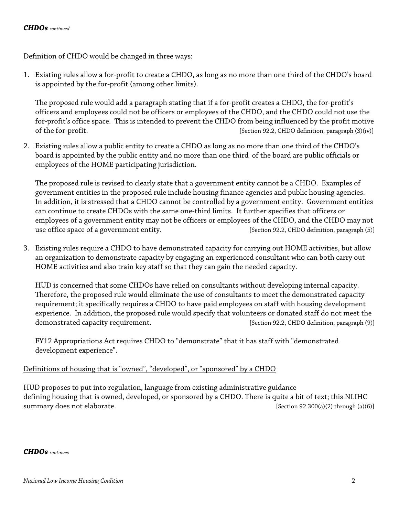Definition of CHDO would be changed in three ways:

1. Existing rules allow a for-profit to create a CHDO, as long as no more than one third of the CHDO's board is appointed by the for-profit (among other limits).

The proposed rule would add a paragraph stating that if a for-profit creates a CHDO, the for-profit's officers and employees could not be officers or employees of the CHDO, and the CHDO could not use the for-profit's office space. This is intended to prevent the CHDO from being influenced by the profit motive of the for-profit. [Section 92.2, CHDO definition, paragraph (3)(iv)]

2. Existing rules allow a public entity to create a CHDO as long as no more than one third of the CHDO's board is appointed by the public entity and no more than one third of the board are public officials or employees of the HOME participating jurisdiction.

The proposed rule is revised to clearly state that a government entity cannot be a CHDO. Examples of government entities in the proposed rule include housing finance agencies and public housing agencies. In addition, it is stressed that a CHDO cannot be controlled by a government entity. Government entities can continue to create CHDOs with the same one-third limits. It further specifies that officers or employees of a government entity may not be officers or employees of the CHDO, and the CHDO may not use office space of a government entity. **[Section 92.2, CHDO definition**, paragraph (5)]

3. Existing rules require a CHDO to have demonstrated capacity for carrying out HOME activities, but allow an organization to demonstrate capacity by engaging an experienced consultant who can both carry out HOME activities and also train key staff so that they can gain the needed capacity.

HUD is concerned that some CHDOs have relied on consultants without developing internal capacity. Therefore, the proposed rule would eliminate the use of consultants to meet the demonstrated capacity requirement; it specifically requires a CHDO to have paid employees on staff with housing development experience. In addition, the proposed rule would specify that volunteers or donated staff do not meet the demonstrated capacity requirement. **[Section 92.2, CHDO definition**, paragraph (9)]

FY12 Appropriations Act requires CHDO to "demonstrate" that it has staff with "demonstrated development experience".

### Definitions of housing that is "owned", "developed", or "sponsored" by a CHDO

HUD proposes to put into regulation, language from existing administrative guidance defining housing that is owned, developed, or sponsored by a CHDO. There is quite a bit of text; this NLIHC summary does not elaborate. **[Section 92.300(a)(2)** through (a)(6)]

*CHDOs continues*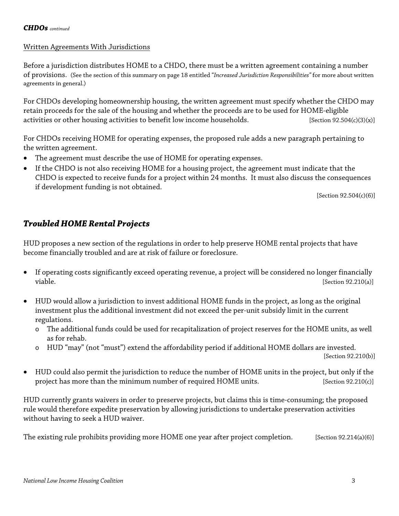### Written Agreements With Jurisdictions

Before a jurisdiction distributes HOME to a CHDO, there must be a written agreement containing a number of provisions. (See the section of this summary on page 18 entitled "*Increased Jurisdiction Responsibilities"* for more about written agreements in general.)

For CHDOs developing homeownership housing, the written agreement must specify whether the CHDO may retain proceeds for the sale of the housing and whether the proceeds are to be used for HOME-eligible activities or other housing activities to benefit low income households.  $[Section 92.504(c)(3)(x)]$ 

For CHDOs receiving HOME for operating expenses, the proposed rule adds a new paragraph pertaining to the written agreement.

- The agreement must describe the use of HOME for operating expenses.
- If the CHDO is not also receiving HOME for a housing project, the agreement must indicate that the CHDO is expected to receive funds for a project within 24 months. It must also discuss the consequences if development funding is not obtained.

[Section 92.504(c)(6)]

## *Troubled HOME Rental Projects*

HUD proposes a new section of the regulations in order to help preserve HOME rental projects that have become financially troubled and are at risk of failure or foreclosure.

- If operating costs significantly exceed operating revenue, a project will be considered no longer financially viable. [Section 92.210(a)]
- HUD would allow a jurisdiction to invest additional HOME funds in the project, as long as the original investment plus the additional investment did not exceed the per-unit subsidy limit in the current regulations.
	- o The additional funds could be used for recapitalization of project reserves for the HOME units, as well as for rehab.
	- o HUD "may" (not "must") extend the affordability period if additional HOME dollars are invested. [Section 92.210(b)]
- HUD could also permit the jurisdiction to reduce the number of HOME units in the project, but only if the
- project has more than the minimum number of required HOME units. [Section 92.210(c)]

HUD currently grants waivers in order to preserve projects, but claims this is time-consuming; the proposed rule would therefore expedite preservation by allowing jurisdictions to undertake preservation activities without having to seek a HUD waiver.

The existing rule prohibits providing more HOME one year after project completion. [Section 92.214(a)(6)]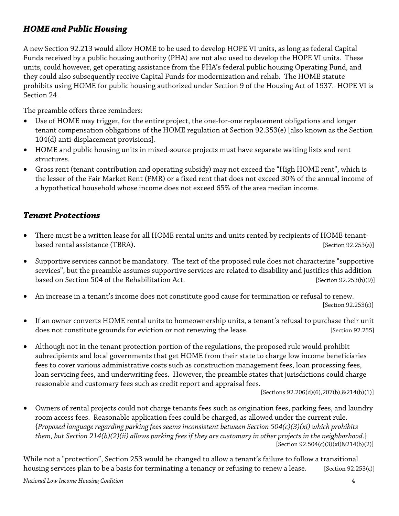# *HOME and Public Housing*

A new Section 92.213 would allow HOME to be used to develop HOPE VI units, as long as federal Capital Funds received by a public housing authority (PHA) are not also used to develop the HOPE VI units. These units, could however, get operating assistance from the PHA's federal public housing Operating Fund, and they could also subsequently receive Capital Funds for modernization and rehab. The HOME statute prohibits using HOME for public housing authorized under Section 9 of the Housing Act of 1937. HOPE VI is Section 24.

The preamble offers three reminders:

- Use of HOME may trigger, for the entire project, the one-for-one replacement obligations and longer tenant compensation obligations of the HOME regulation at Section 92.353(e) [also known as the Section 104(d) anti-displacement provisions].
- HOME and public housing units in mixed-source projects must have separate waiting lists and rent structures.
- Gross rent (tenant contribution and operating subsidy) may not exceed the "High HOME rent", which is the lesser of the Fair Market Rent (FMR) or a fixed rent that does not exceed 30% of the annual income of a hypothetical household whose income does not exceed 65% of the area median income.

## *Tenant Protections*

- There must be a written lease for all HOME rental units and units rented by recipients of HOME tenantbased rental assistance (TBRA). [Section 92.253(a)]
- Supportive services cannot be mandatory. The text of the proposed rule does not characterize "supportive services", but the preamble assumes supportive services are related to disability and justifies this addition based on Section 504 of the Rehabilitation Act. [Section 92.253(b)(9)]
- An increase in a tenant's income does not constitute good cause for termination or refusal to renew. [Section 92.253(c)]
- If an owner converts HOME rental units to homeownership units, a tenant's refusal to purchase their unit does not constitute grounds for eviction or not renewing the lease. [Section 92.255]
- Although not in the tenant protection portion of the regulations, the proposed rule would prohibit subrecipients and local governments that get HOME from their state to charge low income beneficiaries fees to cover various administrative costs such as construction management fees, loan processing fees, loan servicing fees, and underwriting fees. However, the preamble states that jurisdictions could charge reasonable and customary fees such as credit report and appraisal fees.

[Sections 92.206(d)(6),207(b),&214(b)(1)]

• Owners of rental projects could not charge tenants fees such as origination fees, parking fees, and laundry room access fees. Reasonable application fees could be charged, as allowed under the current rule. {*Proposed language regarding parking fees seems inconsistent between Section 504(c)(3)(xi) which prohibits them, but Section 214(b)(2)(ii) allows parking fees if they are customary in other projects in the neighborhood.*} [Section 92.504(c)(3)(xi)&214(b)(2)]

While not a "protection", Section 253 would be changed to allow a tenant's failure to follow a transitional housing services plan to be a basis for terminating a tenancy or refusing to renew a lease. [Section 92.253(c)]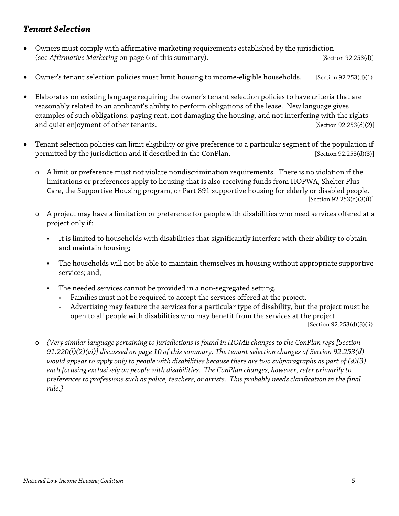## *Tenant Selection*

- Owners must comply with affirmative marketing requirements established by the jurisdiction (see *Affirmative Marketing* on page 6 of this summary). [Section 92.253(d)]
- Owner's tenant selection policies must limit housing to income-eligible households. [Section 92.253(d)(1)]
- Elaborates on existing language requiring the owner's tenant selection policies to have criteria that are reasonably related to an applicant's ability to perform obligations of the lease. New language gives examples of such obligations: paying rent, not damaging the housing, and not interfering with the rights and quiet enjoyment of other tenants. [Section 92.253(d)(2)]
- Tenant selection policies can limit eligibility or give preference to a particular segment of the population if permitted by the jurisdiction and if described in the ConPlan. [Section 92.253(d)(3)]
	- o A limit or preference must not violate nondiscrimination requirements. There is no violation if the limitations or preferences apply to housing that is also receiving funds from HOPWA, Shelter Plus Care, the Supportive Housing program, or Part 891 supportive housing for elderly or disabled people. [Section 92.253(d)(3)(i)]
	- o A project may have a limitation or preference for people with disabilities who need services offered at a project only if:
		- It is limited to households with disabilities that significantly interfere with their ability to obtain and maintain housing;
		- The households will not be able to maintain themselves in housing without appropriate supportive services; and,
		- The needed services cannot be provided in a non-segregated setting.
			- Families must not be required to accept the services offered at the project.
			- <sup>∗</sup> Advertising may feature the services for a particular type of disability, but the project must be open to all people with disabilities who may benefit from the services at the project.

[Section 92.253(d)(3)(ii)]

o *{Very similar language pertaining to jurisdictions is found in HOME changes to the ConPlan regs [Section 91.220(l)(2)(vi)] discussed on page 10 of this summary. The tenant selection changes of Section 92.253(d) would appear to apply only to people with disabilities because there are two subparagraphs as part of (d)(3) each focusing exclusively on people with disabilities. The ConPlan changes, however, refer primarily to preferences to professions such as police, teachers, or artists. This probably needs clarification in the final rule.}*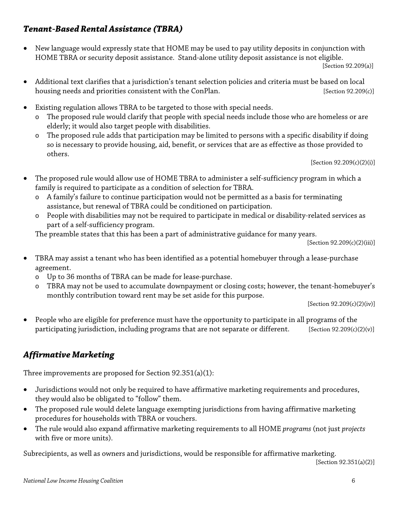# *Tenant-Based Rental Assistance (TBRA)*

• New language would expressly state that HOME may be used to pay utility deposits in conjunction with HOME TBRA or security deposit assistance. Stand-alone utility deposit assistance is not eligible.

[Section 92.209(a)]

- Additional text clarifies that a jurisdiction's tenant selection policies and criteria must be based on local housing needs and priorities consistent with the ConPlan. [Section 92.209(c)]
- Existing regulation allows TBRA to be targeted to those with special needs.
	- o The proposed rule would clarify that people with special needs include those who are homeless or are elderly; it would also target people with disabilities.
	- o The proposed rule adds that participation may be limited to persons with a specific disability if doing so is necessary to provide housing, aid, benefit, or services that are as effective as those provided to others.

[Section 92.209(c)(2)(i)]

- The proposed rule would allow use of HOME TBRA to administer a self-sufficiency program in which a family is required to participate as a condition of selection for TBRA.
	- o A family's failure to continue participation would not be permitted as a basis for terminating assistance, but renewal of TBRA could be conditioned on participation.
	- o People with disabilities may not be required to participate in medical or disability-related services as part of a self-sufficiency program.

The preamble states that this has been a part of administrative guidance for many years.

[Section 92.209(c)(2)(iii)]

- TBRA may assist a tenant who has been identified as a potential homebuyer through a lease-purchase agreement.
	- o Up to 36 months of TBRA can be made for lease-purchase.
	- TBRA may not be used to accumulate downpayment or closing costs; however, the tenant-homebuyer's monthly contribution toward rent may be set aside for this purpose.

[Section 92.209(c)(2)(iv)]

• People who are eligible for preference must have the opportunity to participate in all programs of the participating jurisdiction, including programs that are not separate or different. [Section 92.209(c)(2)(v)]

# *Affirmative Marketing*

Three improvements are proposed for Section 92.351(a)(1):

- Jurisdictions would not only be required to have affirmative marketing requirements and procedures, they would also be obligated to "follow" them.
- The proposed rule would delete language exempting jurisdictions from having affirmative marketing procedures for households with TBRA or vouchers.
- The rule would also expand affirmative marketing requirements to all HOME *programs* (not just *projects* with five or more units).

Subrecipients, as well as owners and jurisdictions, would be responsible for affirmative marketing.

[Section 92.351(a)(2)]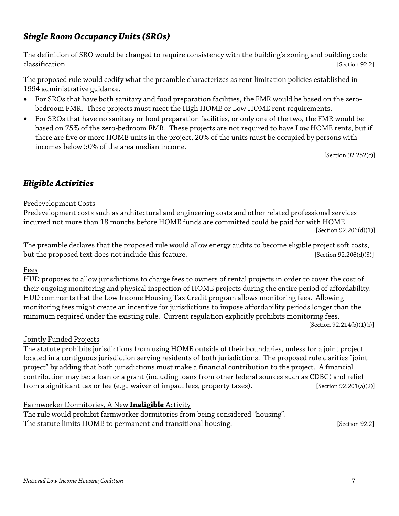# *Single Room Occupancy Units (SROs)*

The definition of SRO would be changed to require consistency with the building's zoning and building code classification. [Section 92.2]

The proposed rule would codify what the preamble characterizes as rent limitation policies established in 1994 administrative guidance.

- For SROs that have both sanitary and food preparation facilities, the FMR would be based on the zerobedroom FMR. These projects must meet the High HOME or Low HOME rent requirements.
- For SROs that have no sanitary or food preparation facilities, or only one of the two, the FMR would be based on 75% of the zero-bedroom FMR. These projects are not required to have Low HOME rents, but if there are five or more HOME units in the project, 20% of the units must be occupied by persons with incomes below 50% of the area median income.

[Section 92.252(c)]

# *Eligible Activities*

### Predevelopment Costs

Predevelopment costs such as architectural and engineering costs and other related professional services incurred not more than 18 months before HOME funds are committed could be paid for with HOME.

[Section 92.206(d)(1)]

The preamble declares that the proposed rule would allow energy audits to become eligible project soft costs, but the proposed text does not include this feature. [Section 92.206(d)(3)]

### Fees

HUD proposes to allow jurisdictions to charge fees to owners of rental projects in order to cover the cost of their ongoing monitoring and physical inspection of HOME projects during the entire period of affordability. HUD comments that the Low Income Housing Tax Credit program allows monitoring fees. Allowing monitoring fees might create an incentive for jurisdictions to impose affordability periods longer than the minimum required under the existing rule. Current regulation explicitly prohibits monitoring fees. [Section 92.214(b)(1)(i)]

### Jointly Funded Projects

The statute prohibits jurisdictions from using HOME outside of their boundaries, unless for a joint project located in a contiguous jurisdiction serving residents of both jurisdictions. The proposed rule clarifies "joint project" by adding that both jurisdictions must make a financial contribution to the project. A financial contribution may be: a loan or a grant (including loans from other federal sources such as CDBG) and relief from a significant tax or fee (e.g., waiver of impact fees, property taxes). [Section 92.201(a)(2)]

### Farmworker Dormitories, A New **Ineligible** Activity

The rule would prohibit farmworker dormitories from being considered "housing". The statute limits HOME to permanent and transitional housing. The statute limits HOME to permanent and transitional housing.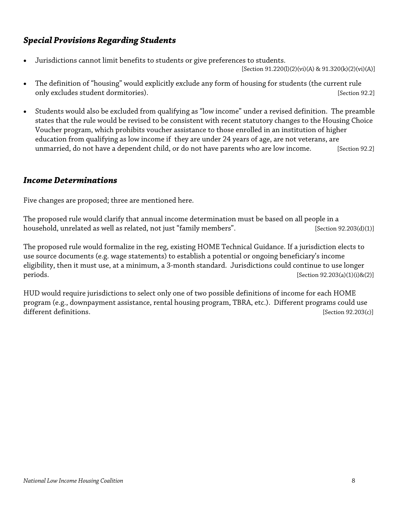# *Special Provisions Regarding Students*

• Jurisdictions cannot limit benefits to students or give preferences to students.

[Section 91.220(l)(2)(vi)(A) & 91.320(k)(2)(vi)(A)]

- The definition of "housing" would explicitly exclude any form of housing for students (the current rule only excludes student dormitories). The student of the student student student student student student student
- Students would also be excluded from qualifying as "low income" under a revised definition. The preamble states that the rule would be revised to be consistent with recent statutory changes to the Housing Choice Voucher program, which prohibits voucher assistance to those enrolled in an institution of higher education from qualifying as low income if they are under 24 years of age, are not veterans, are unmarried, do not have a dependent child, or do not have parents who are low income. [Section 92.2]

## *Income Determinations*

Five changes are proposed; three are mentioned here.

The proposed rule would clarify that annual income determination must be based on all people in a household, unrelated as well as related, not just "family members". [Section 92.203(d)(1)]

The proposed rule would formalize in the reg, existing HOME Technical Guidance. If a jurisdiction elects to use source documents (e.g. wage statements) to establish a potential or ongoing beneficiary's income eligibility, then it must use, at a minimum, a 3-month standard. Jurisdictions could continue to use longer periods. [Section 92.203(a)(1)(i)&(2)]

HUD would require jurisdictions to select only one of two possible definitions of income for each HOME program (e.g., downpayment assistance, rental housing program, TBRA, etc.). Different programs could use different definitions. [Section 92.203(c)]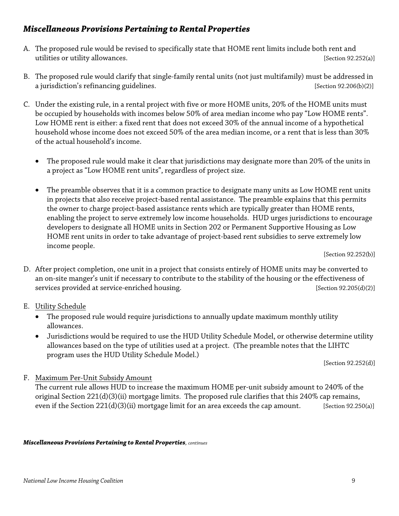## *Miscellaneous Provisions Pertaining to Rental Properties*

- A. The proposed rule would be revised to specifically state that HOME rent limits include both rent and utilities or utility allowances. The section of the section  $[Section 92.252(a)]$
- B. The proposed rule would clarify that single-family rental units (not just multifamily) must be addressed in a jurisdiction's refinancing guidelines.  $[Section 92.206(b)(2)]$
- C. Under the existing rule, in a rental project with five or more HOME units, 20% of the HOME units must be occupied by households with incomes below 50% of area median income who pay "Low HOME rents". Low HOME rent is either: a fixed rent that does not exceed 30% of the annual income of a hypothetical household whose income does not exceed 50% of the area median income, or a rent that is less than 30% of the actual household's income.
	- The proposed rule would make it clear that jurisdictions may designate more than 20% of the units in a project as "Low HOME rent units", regardless of project size.
	- The preamble observes that it is a common practice to designate many units as Low HOME rent units in projects that also receive project-based rental assistance. The preamble explains that this permits the owner to charge project-based assistance rents which are typically greater than HOME rents, enabling the project to serve extremely low income households. HUD urges jurisdictions to encourage developers to designate all HOME units in Section 202 or Permanent Supportive Housing as Low HOME rent units in order to take advantage of project-based rent subsidies to serve extremely low income people.

[Section 92.252(b)]

- D. After project completion, one unit in a project that consists entirely of HOME units may be converted to an on-site manger's unit if necessary to contribute to the stability of the housing or the effectiveness of services provided at service-enriched housing. [Section 92.205(d)(2)]
- E. Utility Schedule
	- The proposed rule would require jurisdictions to annually update maximum monthly utility allowances.
	- Jurisdictions would be required to use the HUD Utility Schedule Model, or otherwise determine utility allowances based on the type of utilities used at a project. (The preamble notes that the LIHTC program uses the HUD Utility Schedule Model.)

[Section 92.252(d)]

F. Maximum Per-Unit Subsidy Amount

The current rule allows HUD to increase the maximum HOME per-unit subsidy amount to 240% of the original Section 221(d)(3)(ii) mortgage limits. The proposed rule clarifies that this 240% cap remains, even if the Section 221(d)(3)(ii) mortgage limit for an area exceeds the cap amount. [Section 92.250(a)]

### *Miscellaneous Provisions Pertaining to Rental Properties, continues*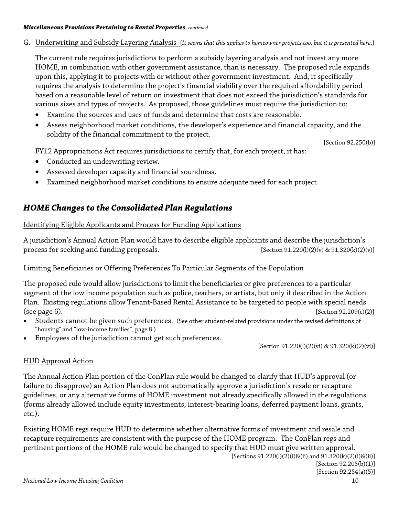#### *Miscellaneous Provisions Pertaining to Rental Properties, continued*

G. Underwriting and Subsidy Layering Analysis {*It seems that this applies to homeowner projects too, but it is presented here*.}

The current rule requires jurisdictions to perform a subsidy layering analysis and not invest any more HOME, in combination with other government assistance, than is necessary. The proposed rule expands upon this, applying it to projects with or without other government investment. And, it specifically requires the analysis to determine the project's financial viability over the required affordability period based on a reasonable level of return on investment that does not exceed the jurisdiction's standards for various sizes and types of projects. As proposed, those guidelines must require the jurisdiction to:

- Examine the sources and uses of funds and determine that costs are reasonable.
- Assess neighborhood market conditions, the developer's experience and financial capacity, and the solidity of the financial commitment to the project.

[Section 92.250(b)]

FY12 Appropriations Act requires jurisdictions to certify that, for each project, it has:

- Conducted an underwriting review.
- Assessed developer capacity and financial soundness.
- Examined neighborhood market conditions to ensure adequate need for each project.

## *HOME Changes to the Consolidated Plan Regulations*

### Identifying Eligible Applicants and Process for Funding Applications

A jurisdiction's Annual Action Plan would have to describe eligible applicants and describe the jurisdiction's process for seeking and funding proposals. [Section 91.220(l)(2)(v) & 91.320(k)(2)(v)]

### Limiting Beneficiaries or Offering Preferences To Particular Segments of the Population

The proposed rule would allow jurisdictions to limit the beneficiaries or give preferences to a particular segment of the low income population such as police, teachers, or artists, but only if described in the Action Plan. Existing regulations allow Tenant-Based Rental Assistance to be targeted to people with special needs (see page 6).  $[Section 92.209(c)(2)]$ 

- Students cannot be given such preferences. (See other student-related provisions under the revised definitions of "housing" and "low-income families", page 8.)
- Employees of the jurisdiction cannot get such preferences.

[Section 91.220(l)(2)(vi) & 91.320(k)(2)(vi)]

### HUD Approval Action

The Annual Action Plan portion of the ConPlan rule would be changed to clarify that HUD's approval (or failure to disapprove) an Action Plan does not automatically approve a jurisdiction's resale or recapture guidelines, or any alternative forms of HOME investment not already specifically allowed in the regulations (forms already allowed include equity investments, interest-bearing loans, deferred payment loans, grants, etc.).

Existing HOME regs require HUD to determine whether alternative forms of investment and resale and recapture requirements are consistent with the purpose of the HOME program. The ConPlan regs and pertinent portions of the HOME rule would be changed to specify that HUD must give written approval. [Sections 91.220(l)(2)(i)&(ii) and 91.320(k)(2)(i)&(ii)]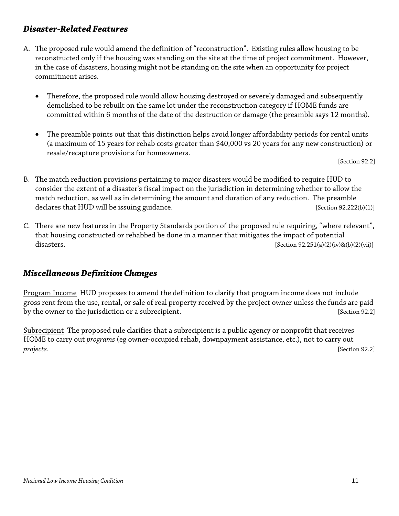## *Disaster-Related Features*

- A. The proposed rule would amend the definition of "reconstruction". Existing rules allow housing to be reconstructed only if the housing was standing on the site at the time of project commitment. However, in the case of disasters, housing might not be standing on the site when an opportunity for project commitment arises.
	- Therefore, the proposed rule would allow housing destroyed or severely damaged and subsequently demolished to be rebuilt on the same lot under the reconstruction category if HOME funds are committed within 6 months of the date of the destruction or damage (the preamble says 12 months).
	- The preamble points out that this distinction helps avoid longer affordability periods for rental units (a maximum of 15 years for rehab costs greater than \$40,000 vs 20 years for any new construction) or resale/recapture provisions for homeowners.

[Section 92.2]

- B. The match reduction provisions pertaining to major disasters would be modified to require HUD to consider the extent of a disaster's fiscal impact on the jurisdiction in determining whether to allow the match reduction, as well as in determining the amount and duration of any reduction. The preamble declares that HUD will be issuing guidance.  $[Section 92.222(b)(1)]$
- C. There are new features in the Property Standards portion of the proposed rule requiring, "where relevant", that housing constructed or rehabbed be done in a manner that mitigates the impact of potential disasters.  $[Section 92.251(a)(2)(iv)8(b)(2)(vii)]$

## *Miscellaneous Definition Changes*

Program Income HUD proposes to amend the definition to clarify that program income does not include gross rent from the use, rental, or sale of real property received by the project owner unless the funds are paid by the owner to the jurisdiction or a subrecipient. The section 92.2] [Section 92.2]

Subrecipient The proposed rule clarifies that a subrecipient is a public agency or nonprofit that receives HOME to carry out *programs* (eg owner-occupied rehab, downpayment assistance, etc.), not to carry out *projects*. [Section 92.2]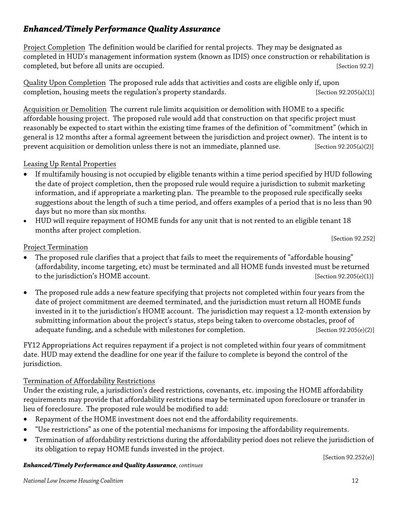# *Enhanced/Timely Performance Quality Assurance*

Project Completion The definition would be clarified for rental projects. They may be designated as completed in HUD's management information system (known as IDIS) once construction or rehabilitation is completed, but before all units are occupied.  $[Section 92.2]$ 

Quality Upon Completion The proposed rule adds that activities and costs are eligible only if, upon completion, housing meets the regulation's property standards.  $[Section 92.205(a)(1)]$ 

Acquisition or Demolition The current rule limits acquisition or demolition with HOME to a specific affordable housing project. The proposed rule would add that construction on that specific project must reasonably be expected to start within the existing time frames of the definition of "commitment" (which in general is 12 months after a formal agreement between the jurisdiction and project owner). The intent is to prevent acquisition or demolition unless there is not an immediate, planned use. [Section 92.205(a)(2)]

## Leasing Up Rental Properties

- If multifamily housing is not occupied by eligible tenants within a time period specified by HUD following the date of project completion, then the proposed rule would require a jurisdiction to submit marketing information, and if appropriate a marketing plan. The preamble to the proposed rule specifically seeks suggestions about the length of such a time period, and offers examples of a period that is no less than 90 days but no more than six months.
- HUD will require repayment of HOME funds for any unit that is not rented to an eligible tenant 18 months after project completion.

[Section 92.252]

## Project Termination

- The proposed rule clarifies that a project that fails to meet the requirements of "affordable housing" (affordability, income targeting, etc) must be terminated and all HOME funds invested must be returned to the jurisdiction's HOME account. [Section 92.205(e)(1)]
- The proposed rule adds a new feature specifying that projects not completed within four years from the date of project commitment are deemed terminated, and the jurisdiction must return all HOME funds invested in it to the jurisdiction's HOME account. The jurisdiction may request a 12-month extension by submitting information about the project's status, steps being taken to overcome obstacles, proof of adequate funding, and a schedule with milestones for completion. [Section 92.205(e)(2)]

FY12 Appropriations Act requires repayment if a project is not completed within four years of commitment date. HUD may extend the deadline for one year if the failure to complete is beyond the control of the jurisdiction.

### Termination of Affordability Restrictions

Under the existing rule, a jurisdiction's deed restrictions, covenants, etc. imposing the HOME affordability requirements may provide that affordability restrictions may be terminated upon foreclosure or transfer in lieu of foreclosure. The proposed rule would be modified to add:

- Repayment of the HOME investment does not end the affordability requirements.
- "Use restrictions" as one of the potential mechanisms for imposing the affordability requirements.
- Termination of affordability restrictions during the affordability period does not relieve the jurisdiction of its obligation to repay HOME funds invested in the project.

[Section 92.252(e)]

### *Enhanced/Timely Performance and Quality Assurance, continues*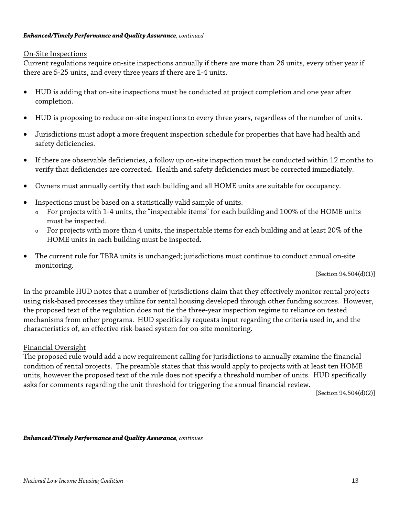#### *Enhanced/Timely Performance and Quality Assurance, continued*

#### On-Site Inspections

Current regulations require on-site inspections annually if there are more than 26 units, every other year if there are 5-25 units, and every three years if there are 1-4 units.

- HUD is adding that on-site inspections must be conducted at project completion and one year after completion.
- HUD is proposing to reduce on-site inspections to every three years, regardless of the number of units.
- Jurisdictions must adopt a more frequent inspection schedule for properties that have had health and safety deficiencies.
- If there are observable deficiencies, a follow up on-site inspection must be conducted within 12 months to verify that deficiencies are corrected. Health and safety deficiencies must be corrected immediately.
- Owners must annually certify that each building and all HOME units are suitable for occupancy.
- Inspections must be based on a statistically valid sample of units.
	- <sup>o</sup> For projects with 1-4 units, the "inspectable items" for each building and 100% of the HOME units must be inspected.
	- <sup>o</sup> For projects with more than 4 units, the inspectable items for each building and at least 20% of the HOME units in each building must be inspected.
- The current rule for TBRA units is unchanged; jurisdictions must continue to conduct annual on-site monitoring.

[Section 94.504(d)(1)]

In the preamble HUD notes that a number of jurisdictions claim that they effectively monitor rental projects using risk-based processes they utilize for rental housing developed through other funding sources. However, the proposed text of the regulation does not tie the three-year inspection regime to reliance on tested mechanisms from other programs. HUD specifically requests input regarding the criteria used in, and the characteristics of, an effective risk-based system for on-site monitoring.

### Financial Oversight

The proposed rule would add a new requirement calling for jurisdictions to annually examine the financial condition of rental projects. The preamble states that this would apply to projects with at least ten HOME units, however the proposed text of the rule does not specify a threshold number of units. HUD specifically asks for comments regarding the unit threshold for triggering the annual financial review.

[Section 94.504(d)(2)]

*Enhanced/Timely Performance and Quality Assurance, continues*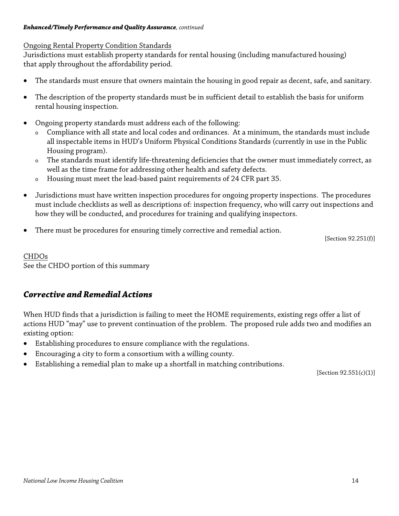#### *Enhanced/Timely Performance and Quality Assurance, continued*

### Ongoing Rental Property Condition Standards

Jurisdictions must establish property standards for rental housing (including manufactured housing) that apply throughout the affordability period.

- The standards must ensure that owners maintain the housing in good repair as decent, safe, and sanitary.
- The description of the property standards must be in sufficient detail to establish the basis for uniform rental housing inspection.
- Ongoing property standards must address each of the following:
	- Compliance with all state and local codes and ordinances. At a minimum, the standards must include all inspectable items in HUD's Uniform Physical Conditions Standards (currently in use in the Public Housing program).
	- <sup>o</sup> The standards must identify life-threatening deficiencies that the owner must immediately correct, as well as the time frame for addressing other health and safety defects.
	- <sup>o</sup> Housing must meet the lead-based paint requirements of 24 CFR part 35.
- Jurisdictions must have written inspection procedures for ongoing property inspections. The procedures must include checklists as well as descriptions of: inspection frequency, who will carry out inspections and how they will be conducted, and procedures for training and qualifying inspectors.
- There must be procedures for ensuring timely corrective and remedial action.

[Section 92.251(f)]

## CHDOs See the CHDO portion of this summary

# *Corrective and Remedial Actions*

When HUD finds that a jurisdiction is failing to meet the HOME requirements, existing regs offer a list of actions HUD "may" use to prevent continuation of the problem. The proposed rule adds two and modifies an existing option:

- Establishing procedures to ensure compliance with the regulations.
- Encouraging a city to form a consortium with a willing county.
- Establishing a remedial plan to make up a shortfall in matching contributions.

[Section 92.551(c)(1)]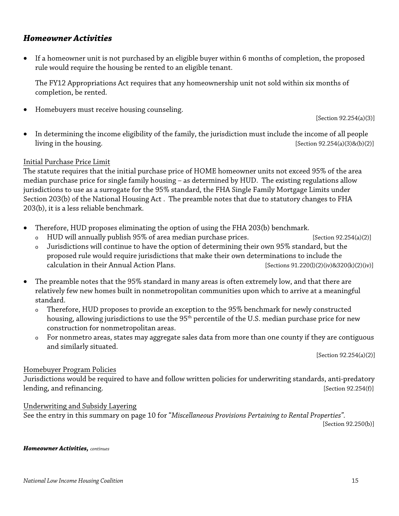## *Homeowner Activities*

• If a homeowner unit is not purchased by an eligible buyer within 6 months of completion, the proposed rule would require the housing be rented to an eligible tenant.

The FY12 Appropriations Act requires that any homeownership unit not sold within six months of completion, be rented.

• Homebuyers must receive housing counseling.

[Section 92.254(a)(3)]

• In determining the income eligibility of the family, the jurisdiction must include the income of all people  $\lim_{z \to z_0}$  [Section 92.254(a)(3)&(b)(2)]

### Initial Purchase Price Limit

The statute requires that the initial purchase price of HOME homeowner units not exceed 95% of the area median purchase price for single family housing – as determined by HUD. The existing regulations allow jurisdictions to use as a surrogate for the 95% standard, the FHA Single Family Mortgage Limits under Section 203(b) of the National Housing Act . The preamble notes that due to statutory changes to FHA 203(b), it is a less reliable benchmark.

- Therefore, HUD proposes eliminating the option of using the FHA 203(b) benchmark.
	- o HUD will annually publish 95% of area median purchase prices. [Section 92.254(a)(2)]

- <sup>o</sup> Jurisdictions will continue to have the option of determining their own 95% standard, but the proposed rule would require jurisdictions that make their own determinations to include the calculation in their Annual Action Plans. [Sections 91.220(l)(2)(iv)&320(k)(2)(iv)]
- The preamble notes that the 95% standard in many areas is often extremely low, and that there are relatively few new homes built in nonmetropolitan communities upon which to arrive at a meaningful standard.
	- <sup>o</sup> Therefore, HUD proposes to provide an exception to the 95% benchmark for newly constructed housing, allowing jurisdictions to use the 95<sup>th</sup> percentile of the U.S. median purchase price for new construction for nonmetropolitan areas.
	- <sup>o</sup> For nonmetro areas, states may aggregate sales data from more than one county if they are contiguous and similarly situated.

[Section 92.254(a)(2)]

### Homebuyer Program Policies

Jurisdictions would be required to have and follow written policies for underwriting standards, anti-predatory lending, and refinancing. The state of the state of the state of the state of the state of the state of the state of the state of the state of the state of the state of the state of the state of the state of the state of t

### Underwriting and Subsidy Layering

See the entry in this summary on page 10 for "*Miscellaneous Provisions Pertaining to Rental Properties".*

[Section 92.250(b)]

*Homeowner Activities, continues*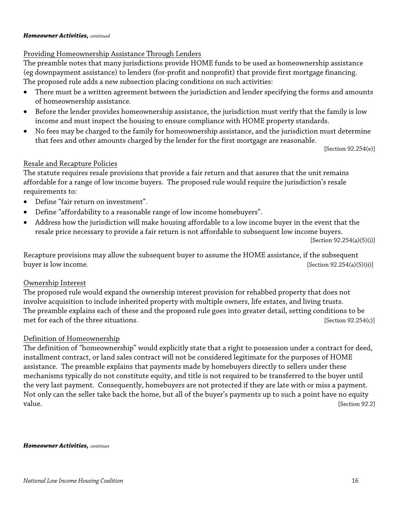#### *Homeowner Activities, continued*

### Providing Homeownership Assistance Through Lenders

The preamble notes that many jurisdictions provide HOME funds to be used as homeownership assistance (eg downpayment assistance) to lenders (for-profit and nonprofit) that provide first mortgage financing. The proposed rule adds a new subsection placing conditions on such activities:

- There must be a written agreement between the jurisdiction and lender specifying the forms and amounts of homeownership assistance.
- Before the lender provides homeownership assistance, the jurisdiction must verify that the family is low income and must inspect the housing to ensure compliance with HOME property standards.
- No fees may be charged to the family for homeownership assistance, and the jurisdiction must determine that fees and other amounts charged by the lender for the first mortgage are reasonable.

[Section 92.254(e)]

### Resale and Recapture Policies

The statute requires resale provisions that provide a fair return and that assures that the unit remains affordable for a range of low income buyers. The proposed rule would require the jurisdiction's resale requirements to:

- Define "fair return on investment".
- Define "affordability to a reasonable range of low income homebuyers".
- Address how the jurisdiction will make housing affordable to a low income buyer in the event that the resale price necessary to provide a fair return is not affordable to subsequent low income buyers.

[Section 92.254(a)(5)(i)]

Recapture provisions may allow the subsequent buyer to assume the HOME assistance, if the subsequent buyer is low income. [Section 92.254(a)(5)(ii)]

### Ownership Interest

The proposed rule would expand the ownership interest provision for rehabbed property that does not involve acquisition to include inherited property with multiple owners, life estates, and living trusts. The preamble explains each of these and the proposed rule goes into greater detail, setting conditions to be met for each of the three situations. [Section 92.254(c)]

### Definition of Homeownership

The definition of "homeownership" would explicitly state that a right to possession under a contract for deed, installment contract, or land sales contract will not be considered legitimate for the purposes of HOME assistance. The preamble explains that payments made by homebuyers directly to sellers under these mechanisms typically do not constitute equity, and title is not required to be transferred to the buyer until the very last payment. Consequently, homebuyers are not protected if they are late with or miss a payment. Not only can the seller take back the home, but all of the buyer's payments up to such a point have no equity value. [Section 92.2]

#### *Homeowner Activities, continues*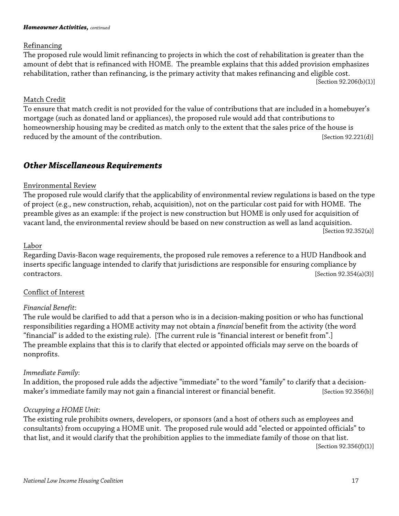#### *Homeowner Activities, continued*

#### Refinancing

The proposed rule would limit refinancing to projects in which the cost of rehabilitation is greater than the amount of debt that is refinanced with HOME. The preamble explains that this added provision emphasizes rehabilitation, rather than refinancing, is the primary activity that makes refinancing and eligible cost. [Section 92.206(b)(1)]

#### Match Credit

To ensure that match credit is not provided for the value of contributions that are included in a homebuyer's mortgage (such as donated land or appliances), the proposed rule would add that contributions to homeownership housing may be credited as match only to the extent that the sales price of the house is reduced by the amount of the contribution. [Section 92.221(d)]

## *Other Miscellaneous Requirements*

#### Environmental Review

The proposed rule would clarify that the applicability of environmental review regulations is based on the type of project (e.g., new construction, rehab, acquisition), not on the particular cost paid for with HOME. The preamble gives as an example: if the project is new construction but HOME is only used for acquisition of vacant land, the environmental review should be based on new construction as well as land acquisition. [Section 92.352(a)]

#### Labor

Regarding Davis-Bacon wage requirements, the proposed rule removes a reference to a HUD Handbook and inserts specific language intended to clarify that jurisdictions are responsible for ensuring compliance by contractors. [Section 92.354(a)(3)]

### Conflict of Interest

### *Financial Benefit*:

The rule would be clarified to add that a person who is in a decision-making position or who has functional responsibilities regarding a HOME activity may not obtain a *financial* benefit from the activity (the word "financial" is added to the existing rule). [The current rule is "financial interest or benefit from".] The preamble explains that this is to clarify that elected or appointed officials may serve on the boards of nonprofits.

### *Immediate Family*:

In addition, the proposed rule adds the adjective "immediate" to the word "family" to clarify that a decisionmaker's immediate family may not gain a financial interest or financial benefit. [Section 92.356(b)]

### *Occupying a HOME Unit*:

The existing rule prohibits owners, developers, or sponsors (and a host of others such as employees and consultants) from occupying a HOME unit. The proposed rule would add "elected or appointed officials" to that list, and it would clarify that the prohibition applies to the immediate family of those on that list. [Section 92.356(f)(1)]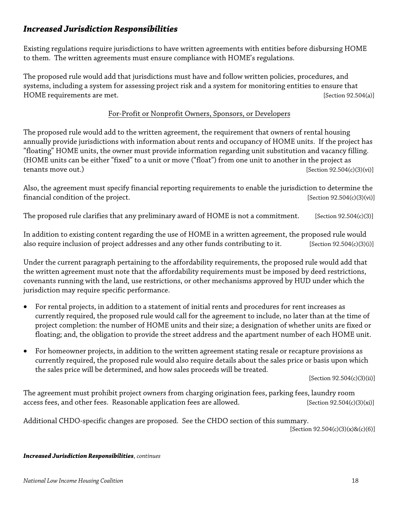## *Increased Jurisdiction Responsibilities*

Existing regulations require jurisdictions to have written agreements with entities before disbursing HOME to them. The written agreements must ensure compliance with HOME's regulations.

The proposed rule would add that jurisdictions must have and follow written policies, procedures, and systems, including a system for assessing project risk and a system for monitoring entities to ensure that HOME requirements are met.  $[Section 92.504(a)]$ 

### For-Profit or Nonprofit Owners, Sponsors, or Developers

The proposed rule would add to the written agreement, the requirement that owners of rental housing annually provide jurisdictions with information about rents and occupancy of HOME units. If the project has "floating" HOME units, the owner must provide information regarding unit substitution and vacancy filling. (HOME units can be either "fixed" to a unit or move ("float") from one unit to another in the project as tenants move out.)  $[Section 92.504(c)(3)(vi)]$ 

Also, the agreement must specify financial reporting requirements to enable the jurisdiction to determine the financial condition of the project.  $[Section 92.504(c)(3)(vi)]$ 

The proposed rule clarifies that any preliminary award of HOME is not a commitment. [Section 92.504 $(c)(3)$ ]

In addition to existing content regarding the use of HOME in a written agreement, the proposed rule would also require inclusion of project addresses and any other funds contributing to it. [Section 92.504(c)(3)(i)]

Under the current paragraph pertaining to the affordability requirements, the proposed rule would add that the written agreement must note that the affordability requirements must be imposed by deed restrictions, covenants running with the land, use restrictions, or other mechanisms approved by HUD under which the jurisdiction may require specific performance.

- For rental projects, in addition to a statement of initial rents and procedures for rent increases as currently required, the proposed rule would call for the agreement to include, no later than at the time of project completion: the number of HOME units and their size; a designation of whether units are fixed or floating; and, the obligation to provide the street address and the apartment number of each HOME unit.
- For homeowner projects, in addition to the written agreement stating resale or recapture provisions as currently required, the proposed rule would also require details about the sales price or basis upon which the sales price will be determined, and how sales proceeds will be treated.

[Section 92.504(c)(3)(ii)]

The agreement must prohibit project owners from charging origination fees, parking fees, laundry room access fees, and other fees. Reasonable application fees are allowed.  $[Section 92.504(c)(3)(xi)]$ 

Additional CHDO-specific changes are proposed. See the CHDO section of this summary.

[Section 92.504(c)(3)(x)&(c)(6)]

*Increased Jurisdiction Responsibilities*, *continues*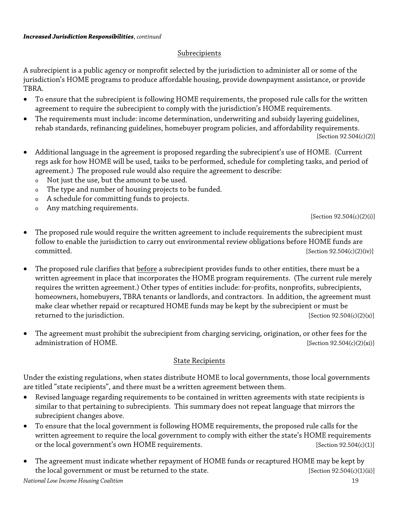## Subrecipients

A subrecipient is a public agency or nonprofit selected by the jurisdiction to administer all or some of the jurisdiction's HOME programs to produce affordable housing, provide downpayment assistance, or provide TBRA.

- To ensure that the subrecipient is following HOME requirements, the proposed rule calls for the written agreement to require the subrecipient to comply with the jurisdiction's HOME requirements.
- The requirements must include: income determination, underwriting and subsidy layering guidelines, rehab standards, refinancing guidelines, homebuyer program policies, and affordability requirements.

[Section 92.504(c)(2)]

- Additional language in the agreement is proposed regarding the subrecipient's use of HOME. (Current regs ask for how HOME will be used, tasks to be performed, schedule for completing tasks, and period of agreement.) The proposed rule would also require the agreement to describe:
	- <sup>o</sup> Not just the use, but the amount to be used.
	- <sup>o</sup> The type and number of housing projects to be funded.
	- <sup>o</sup> A schedule for committing funds to projects.
	- <sup>o</sup> Any matching requirements.

[Section 92.504(c)(2)(i)]

- The proposed rule would require the written agreement to include requirements the subrecipient must follow to enable the jurisdiction to carry out environmental review obligations before HOME funds are  $committed.$  [Section 92.504(c)(2)(iv)]
- The proposed rule clarifies that before a subrecipient provides funds to other entities, there must be a written agreement in place that incorporates the HOME program requirements. (The current rule merely requires the written agreement.) Other types of entities include: for-profits, nonprofits, subrecipients, homeowners, homebuyers, TBRA tenants or landlords, and contractors. In addition, the agreement must make clear whether repaid or recaptured HOME funds may be kept by the subrecipient or must be returned to the jurisdiction.  $[Section 92.504(c)(2)(x)]$
- The agreement must prohibit the subrecipient from charging servicing, origination, or other fees for the administration of HOME. [Section 92.504(c)(2)(xi)]

### State Recipients

Under the existing regulations, when states distribute HOME to local governments, those local governments are titled "state recipients", and there must be a written agreement between them.

- Revised language regarding requirements to be contained in written agreements with state recipients is similar to that pertaining to subrecipients. This summary does not repeat language that mirrors the subrecipient changes above.
- To ensure that the local government is following HOME requirements, the proposed rule calls for the written agreement to require the local government to comply with either the state's HOME requirements or the local government's own HOME requirements. [Section 92.504(c)(1)]
- The agreement must indicate whether repayment of HOME funds or recaptured HOME may be kept by the local government or must be returned to the state. [Section 92.504(c)(1)(ii)]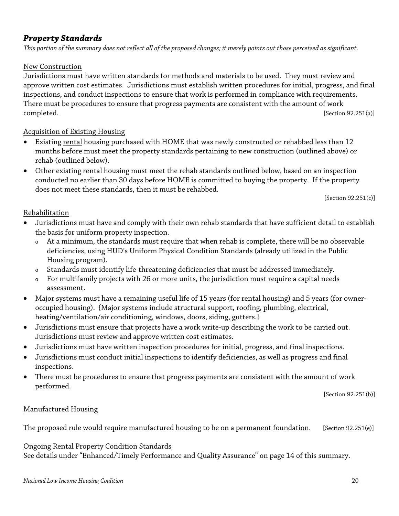## *Property Standards*

*This portion of the summary does not reflect all of the proposed changes; it merely points out those perceived as significant.* 

### New Construction

Jurisdictions must have written standards for methods and materials to be used. They must review and approve written cost estimates. Jurisdictions must establish written procedures for initial, progress, and final inspections, and conduct inspections to ensure that work is performed in compliance with requirements. There must be procedures to ensure that progress payments are consistent with the amount of work completed. [Section 92.251(a)]

## Acquisition of Existing Housing

- Existing rental housing purchased with HOME that was newly constructed or rehabbed less than 12 months before must meet the property standards pertaining to new construction (outlined above) or rehab (outlined below).
- Other existing rental housing must meet the rehab standards outlined below, based on an inspection conducted no earlier than 30 days before HOME is committed to buying the property. If the property does not meet these standards, then it must be rehabbed.

[Section 92.251(c)]

## Rehabilitation

- Jurisdictions must have and comply with their own rehab standards that have sufficient detail to establish the basis for uniform property inspection.
	- <sup>o</sup> At a minimum, the standards must require that when rehab is complete, there will be no observable deficiencies, using HUD's Uniform Physical Condition Standards (already utilized in the Public Housing program).
	- Standards must identify life-threatening deficiencies that must be addressed immediately.
	- <sup>o</sup> For multifamily projects with 26 or more units, the jurisdiction must require a capital needs assessment.
- Major systems must have a remaining useful life of 15 years (for rental housing) and 5 years (for owneroccupied housing). {Major systems include structural support, roofing, plumbing, electrical, heating/ventilation/air conditioning, windows, doors, siding, gutters.}
- Jurisdictions must ensure that projects have a work write-up describing the work to be carried out. Jurisdictions must review and approve written cost estimates.
- Jurisdictions must have written inspection procedures for initial, progress, and final inspections.
- Jurisdictions must conduct initial inspections to identify deficiencies, as well as progress and final inspections.
- There must be procedures to ensure that progress payments are consistent with the amount of work performed.

[Section 92.251(b)]

## Manufactured Housing

The proposed rule would require manufactured housing to be on a permanent foundation. [Section 92.251(e)]

### Ongoing Rental Property Condition Standards

See details under "Enhanced/Timely Performance and Quality Assurance" on page 14 of this summary.